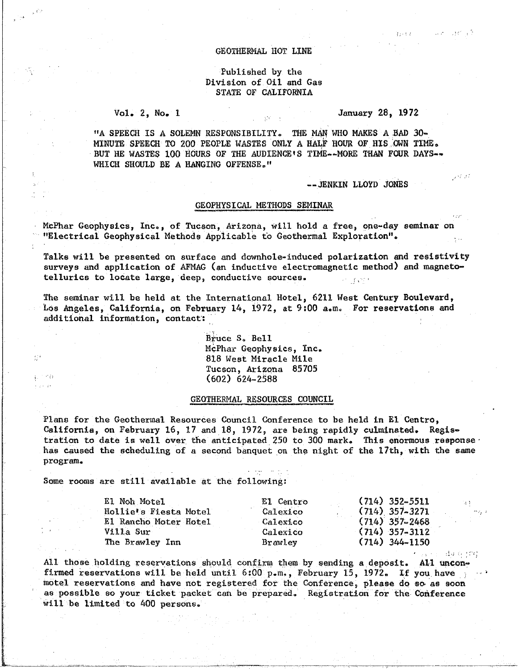#### GEOTHERMAL HOT LINE

## Published by the Division of Oil and Gas STATE OF CALIFORNIA

#### $Vol. 2, No. 1$

## January 28, 1972

ಬಂದು ವಾರಿ ಇನಿ

عماقين

1 valoris ដើម ចុះក្រះពុ

"A SPEECH IS A SOLEMN RESPONSIBILITY. THE MAN WHO MAKES A BAD 30-MINUTE SPEECH TO 200 PEOPLE WASTES ONLY A HALF HOUR OF HIS OWN TIME. BUT HE WASTES 100 HOURS OF THE AUDIENCE'S TIME--MORE THAN FOUR DAYS--WHICH SHOULD BE A HANGING OFFENSE."

#### -- JENKIN LLOYD JONES

### GEOPHYSICAL METHODS SEMINAR

McPhar Geophysics, Inc., of Tucson, Arizona, will hold a free, one-day seminar on "Electrical Geophysical Methods Applicable to Geothermal Exploration".

Talks will be presented on surface and downhole-induced polarization and resistivity surveys and application of AFMAG (an inductive electromagnetic method) and magnetotellurics to locate large, deep, conductive sources. ○ 1377 B

The seminar will be held at the International Hotel, 6211 West Century Boulevard, Los Angeles, California, on February 14, 1972, at 9:00 a.m. For reservations and additional information, contact:

> Bruce S. Bell McPhar Geophysics, Inc. 818 West Miracle Mile Tucson, Arizona 85705  $(602)$  624-2588

## GEOTHERMAL RESOURCES COUNCIL

Plans for the Geothermal Resources Council Conference to be held in El Centro, California, on February 16, 17 and 18, 1972, are being rapidly culminated. Registration to date is well over the anticipated 250 to 300 mark. This enormous response has caused the scheduling of a second banquet on the night of the 17th, with the same program.

Some rooms are still available at the following:

g)

prince

| El Noh Motel          | El Centro      | $(714) 352 - 5511$ |
|-----------------------|----------------|--------------------|
| Hollie's Fiesta Motel | Calexico       | $(714)$ 357-3271   |
| El Rancho Moter Hotel | Calexico       | $(714)$ 357-2468   |
| Villa Sur             | Calexico       | $(714)$ 357-3112   |
| The Brawley Inn       | <b>Brawley</b> | $(714)$ 344-1150   |

All those holding reservations should confirm them by sending a deposit. All unconfirmed reservations will be held until 6:00 p.m., February 15, 1972. If you have motel reservations and have not registered for the Conference, please do so as soon as possible so your ticket packet can be prepared. Registration for the Conference will be limited to 400 persons.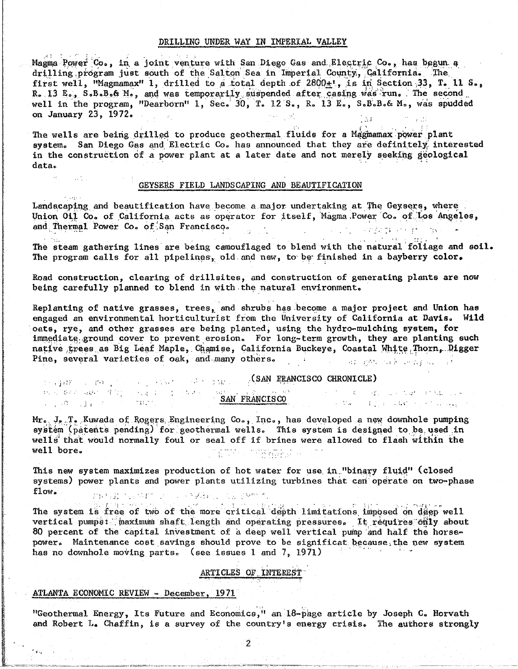### DRILLING UNDER WAY IN IMPERIAL VALLEY

Magma Power Co., in a joint venture with San Diego Gas and Electric Co., has begun a drilling program just south of the Salton Sea in Imperial County, California. The first well, "Magmamax" 1, drilled to a total depth of  $2800<sub>\pm</sub>$ ", is in Section 33, T. 11 S., R. 13 E., S.B.B.& M., and was temporarily suspended after casing was run. The second<br>well in the program, "Dearborn" 1, Sec. 30, T. 12 S., R. 13 E., S.B.B.& M., was spudded on January 23, 1972.

The wells are being drilled to produce geothermal fluids for a Magmamax power plant system. San Diego Gas and Electric Co. has announced that they are definitely interested in the construction of a power plant at a later date and not merely seeking geological data.

#### GEYSERS FIELD LANDSCAPING AND BEAUTIFICATION

Landscaping and beautification have become a major undertaking at The Geysers, where Union Oil Co. of California acts as operator for itself, Magma Power Co. of Los Angeles, and Thermal Power Co. of San Francisco. 计计算过度 反线 保险人

The steam gathering lines are being camouflaged to blend with the natural foliage and soil. The program calls for all pipelines, old and new, to be finished in a bayberry color.

Road construction, clearing of drillsites, and construction of generating plants are now being carefully planned to blend in with the natural environment.

Replanting of native grasses, trees, and shrubs has become a major project and Union has engaged an environmental horticulturist from the University of California at Davis. Wild oats, rye, and other grasses are being planted, using the hydro-mulching system, for immediate ground cover to prevent erosion. For long-term growth, they are planting such native trees as Big Leaf Maple, Chamise, California Buckeye, Coastal White Thorn, Digger Pine, several varieties of oak, and many others.  $\mathbb{R}^2$  and the second contribution of  $\mathbb{R}^2$ 

 $\mathbb{E}[\mathbb{E}_{\mathbb{E}}(f) \mathbb{E}(\mathbb{E}_{\mathbb{E}}(f) \mathbb{E}_{\mathbb{E}}(f) \mathbb{E}_{\mathbb{E}}(f) \mathbb{E}_{\mathbb{E}}(f) \mathbb{E}_{\mathbb{E}}(f) \mathbb{E}_{\mathbb{E}}(f) \mathbb{E}_{\mathbb{E}}(f) \mathbb{E}_{\mathbb{E}}(f) \mathbb{E}_{\mathbb{E}}(f) \mathbb{E}_{\mathbb{E}}(f) \mathbb{E}_{\mathbb{E}}(f) \mathbb{E}_{\mathbb{E}}(f) \mathbb{E}_{\mathbb{E}}($ 

Conservation and the conservation of the conservation of the  $\mathcal{L}(\mathcal{Q},\omega) = \{ \mathcal{L}(\mathcal{Q},\omega) \mid \mathcal{L}(\mathcal{Q},\omega) \in \mathcal{L}(\mathcal{Q},\omega) \}$ 

THE REPORT OF THE PARTY OF THE PARTY OF THE SAME PRANCISCO.  $\mathcal{L} = \{ \mathcal{L} \mathcal{L} \mathcal{L} \mathcal{L} \mathcal{L} \mathcal{L} \mathcal{L} \mathcal{L} \mathcal{L} \mathcal{L} \mathcal{L} \mathcal{L} \mathcal{L} \mathcal{L} \mathcal{L} \mathcal{L} \mathcal{L} \mathcal{L} \mathcal{L} \mathcal{L} \mathcal{L} \mathcal{L} \mathcal{L} \mathcal{L} \mathcal{L} \mathcal{L} \mathcal{L} \mathcal{L} \mathcal{L} \mathcal{L} \mathcal{L} \mathcal{L} \mathcal{L} \mathcal{L} \mathcal{L} \$ 

Mr. J. T. Kuwada of Rogers Engineering Co., Inc., has developed a new downhole pumping system (patents pending) for geothermal wells. This system is designed to be used in wells that would normally foul or seal off if brines were allowed to flash within the well bore. TEUN TREATER

This new system maximizes production of hot water for use in "binary fluid" (closed systems) power plants and power plants utilizing turbines that can operate on two-phase  $flow$ . 新城市(1) (2) 中的 (1) (1) 平方法律规、内部的物质。

The system is free of two of the more critical depth limitations imposed on deep well vertical pumpe: maximum shaft length and operating pressures. It requires only about 80 percent of the capital investment of a deep well vertical pump and half the horsepower. Maintenance cost savings should prove to be significat because the new system has no downhole moving parts. (see issues 1 and 7, 1971)

## ARTICLES OF INTEREST

#### ATLANTA ECONOMIC REVIEW - December, 1971

"Geothermal Energy, Its Future and Economics," an 18-page article by Joseph C. Horvath and Robert L. Chaffin, is a survey of the country's energy crisis. The authors strongly

 $\overline{2}$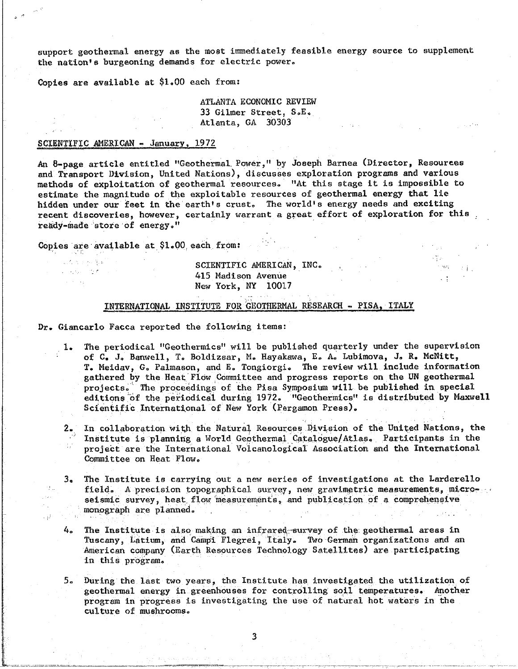support geothermal energy as the most immediately feasible energy source to supplement the nation's burgeoning demands for electric power.

Copies are available at \$1.00 each from:

ATLANTA ECONOMIC REVIEW 33 Gilmer Street, S.E. Atlanta, GA 30303

### SCIENTIFIC AMERICAN - January, 1972

An 8-page article entitled "Geothermal Power," by Joseph Barnea (Director, Resources and Transport Division, United Nations), discusses exploration programs and various methods of exploitation of geothermal resources. "At this stage it is impossible to estimate the magnitude of the exploitable resources of geothermal energy that lie hidden under our feet in the earth's crust. The world's energy needs and exciting recent discoveries, however, certainly warrant a great effort of exploration for this ready-made store of energy."

Copies are available at \$1.00 each from:

的复数医细菌病

الر .

الدارية والمرابطة والمرادي

# SCIENTIFIC AMERICAN, INC. 415 Madison Avenue New York, NY 10017

### INTERNATIONAL INSTITUTE FOR GEOTHERMAL RESEARCH - PISA, ITALY

Dr. Giancarlo Facca reported the following items:

The periodical "Geothermics" will be published quarterly under the supervision  $1.$ of C. J. Banwell, T. Boldizsar, M. Hayakawa, E. A. Lubimova, J. R. McNitt, T. Meidav, G. Palmason, and E. Tongiorgi. The review will include information gathered by the Heat Flow Committee and progress reports on the UN geothermal projects. The proceedings of the Pisa Symposium will be published in special editions of the periodical during 1972. "Geothermics" is distributed by Maxwell Scientific International of New York (Pergamon Press).

 $\sim$  96%.

- 2. In collaboration with the Natural Resources Division of the United Nations, the Institute is planning a World Geothermal Catalogue/Atlas. Participants in the project are the International Volcanological Association and the International Committee on Heat Flow.
- The Institute is carrying out a new series of investigations at the Larderello  $3<sub>e</sub>$ field. A precision topographical survey, new gravimetric measurements, microseismic survey, heat flow measurements, and publication of a comprehensive monograph are planned.
- The Institute is also making an infrared survey of the geothermal areas in 4. Tuscany, Latium, and Campi Flegrei, Italy. Two German organizations and an American company (Earth Resources Technology Satellites) are participating in this program.
- During the last two years, the Institute has investigated the utilization of 5. geothermal energy in greenhouses for controlling soil temperatures. Another program in progress is investigating the use of natural hot waters in the culture of mushrooms.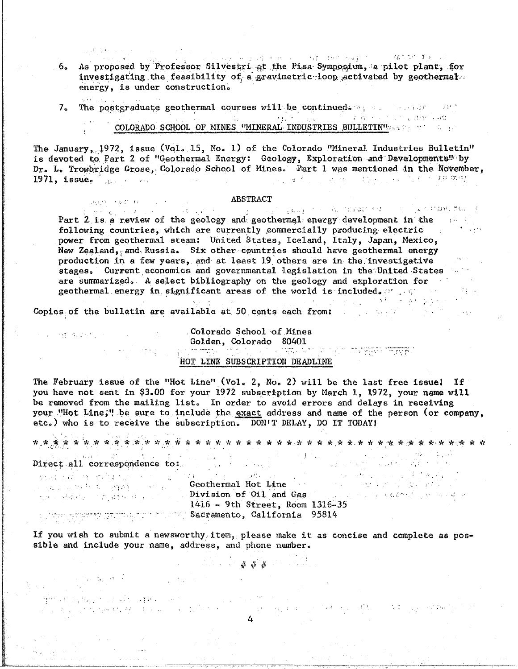As proposed by Professor Silvestri at the Pisa Symposium, a pilot plant, for 6. investigating the feasibility of a gravimetric loop activated by geothermal. energy, is under construction.

.<br>Note 1984 - 2005 - $7<sub>o</sub>$ The postgraduate geothermal courses will be continued. The mass of the set  $\label{eq:3.1} \mathbb{E}\left[\mathbb{E}_{\mathbf{a}}\left[\mathbb{E}_{\mathbf{a}}\right]\right] = \mathbb{E}\left[\mathbb{E}_{\mathbf{a}}\left[\mathbb{E}_{\mathbf{a}}\right]\right] = \mathbb{E}\left[\mathbb{E}_{\mathbf{a}}\left[\mathbb{E}_{\mathbf{a}}\right]\right] = \mathbb{E}\left[\mathbb{E}_{\mathbf{a}}\left[\mathbb{E}_{\mathbf{a}}\right]\right] = \mathbb{E}\left[\mathbb{E}_{\mathbf{a}}\left[\mathbb{E}_{\mathbf{a}}\right]\right] = \mathbb{E}\left[\mathbb{E}_{\mathbf$ COLORADO SCHOOL OF MINES "MINERAL INDUSTRIES BULLETIN'S and the state of the

The January, 1972, issue (Vol. 15, No. 1) of the Colorado "Mineral Industries Bulletin" is devoted to Part 2 of "Geothermal Energy: Geology, Exploration and Developments" by Dr. L. Trowbridge Grose, Colorado School of Mines. Part 1 was mentioned in the November. 1. 医血管上皮出血 自然一切的 化三氟酸钠  $1971,$  issue.  $\sim 10^{-1}$ 

## **ABSTRACT**

e aktor komunisti se se se se se se **apolikaci.**<br>El mesto se num se se se se se se se se se se se se de dona de se fanot en se se se se aportante formal. Part 2 is a review of the geology and geothermal energy development in the following countries, which are currently commercially producing electric and the state of the state of the state of the state of the state of the state of the state of the state of the state of the state of the state of th power from geothermal steam: United States, Iceland, Italy, Japan, Mexico, New Zealand, and Russia. Six other countries should have geothermal energy production in a few years, and at least 19 others are in the investigative stages. Current economics and governmental legislation in the United States . are summarized. A select bibliography on the geology and exploration for geothermal energy in significant areas of the world is included.

 $\gamma_1 \rightarrow 1$  .

的复数人名英格兰人姓氏卡斯特的变体 医精神病 医血管下腺炎 化乙酰胺 计字

Copies of the bulletin are available at 50 cents each from:

# Colorado School of Mines Golden, Colorado 80401 a di sebagai kembangkan di Salam dan berasa di sebagai di sebagai di sebagai di sebagai di sebagai di sebagai<br>Kelurusan pengangkan di sebagai di sebagai di sebagai di sebagai di sebagai di sebagai di sebagai di sebagai d

## HOT LINE SUBSCRIPTION DEADLINE

The February issue of the "Hot Line" (Vol. 2, No. 2) will be the last free issue! If you have not sent in \$3.00 for your 1972 subscription by March 1, 1972, your name will be removed from the mailing list. In order to avoid errors and delays in receiving your "Hot Line;" be sure to include the exact address and name of the person (or company, etc.) who is to receive the subscription. DON'T DELAY, DO IT TODAY!

 $\mathcal{P}_{\Sigma}(\zeta^{*}\mathcal{P}) \geq \mathcal{E}(\phi(\zeta^{*} \setminus G)) \geq \mathcal{E}(\zeta^{*} \setminus \zeta^{*})$ 

いい性 なめがい バー・ファー・ス

i i Tij 5, α έ

建球 计相同程序 化自动试验 的复数人名英格兰

an an arbaysang Alba (an pintot

Direct all correspondence to:<br>
We Geothermal Hot Line<br>
Division of 011 and Gas<br>
The Content of Content of Content of Content of Content of Content of Content<br>
Second of Content of Content of Content of Content of Contents **Sacramento, California 95814** 

If you wish to submit a newsworthy item, please make it as concise and complete as possible and include your name, address, and phone number.

 $# # #$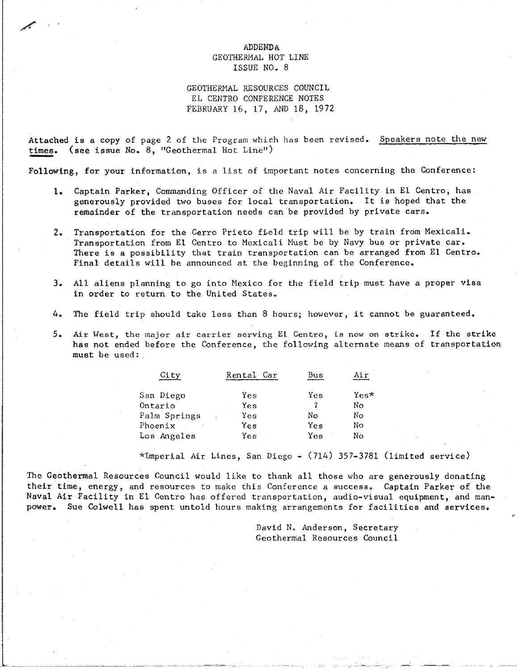# ADDENDA<br>GEOTHERMAL HOT LINE GEOTHERMAL HOT SIN ISSUE NO. 0

.<br>Jeremiya<br>Jeremiya

GEOTHERMAL RESOURCES COUNCIL<br>EL CENTRO CONFERENCE NOTES EL CENTRO CONFERENCE NOTES FEBRUARY 16, 17, AND 18, 17, AND 18, 17, AND 18, 1972.<br>The contract of the contract of the contract of the contract of the contract of the contract of the contract o

 $A_n = \frac{1}{n}$ times. (see issue Noo 8, "Geothermal Hot Line")

Following, for your information, is a list of important notes concerning the Conference:

- 1. Captain Parker, Commanding Officer of the Naval Air Facility in El Centro, has generously provided two buses for local transportation. It is hoped that the generously provided two buses for local transportation in the local transportation of the local transportation remainder of the transportation needs can be provided by private cars.
- 2. Transportation for the Cerro Prieto field trip will be by train from Mexicali.<br>Transportation from El Centro to Mexicali Must be by Navy bus or private car. There is a possibility that train transportation can be arranged from El Centro.  $T$  is a possibility that the possibility transportation can be arranged from E1Centro.  $\frac{1}{2}$ Final details will be announced at the beginning of the Conference.
- $\overline{3}$  and  $\overline{3}$  aliens planning to go into Mexico for the field trip must have a proper visit  $\overline{3}$ in order to return to the United States\_
- 4. The field trip should take less than 8 hours; however, it cannot be guaranteed.
- the material process the major and the major aircraft service service services in the strike. It is not one of the strike. has not ended before the Conference, the following alternative means of the following means of the following means of the following means of the following means of the following means of the following means of the means of must be used:

| City         | $\operatorname{\sf Car}$<br>Rental | Bus |        |
|--------------|------------------------------------|-----|--------|
| San Diego    | Yes                                | Yes | $Yes*$ |
| Ontario      | Yes                                |     | No     |
| Palm Springs | Yes                                | Nο  | No     |
| Phoenix      | Yes                                | Yes | No     |
| Los Angeles  | Yesi                               | Yes | No     |
|              |                                    |     |        |

\*Imperial Air Lines, San Diego - (7].4) 357-3781 (limited service)

The Geothermal Resources Council would like to thank all those who are generously donating<br>their time, energy, and resources to make this Conference a success. Captain Parker of the Naval Air Facility in El Centro has offered transportation, audio-visual equipment, and man- $N_{\rm max}$  . Sue Calcullity in Equipment in Equipment of the field transportation, and manipulated transportation, and  $\epsilon$ power. Sue Colwell has spent untold hours making arrangements for facilities and services.

> david no anderson, Secretary<br>Oscalarist Decentery Compat Geothermal Resources Council